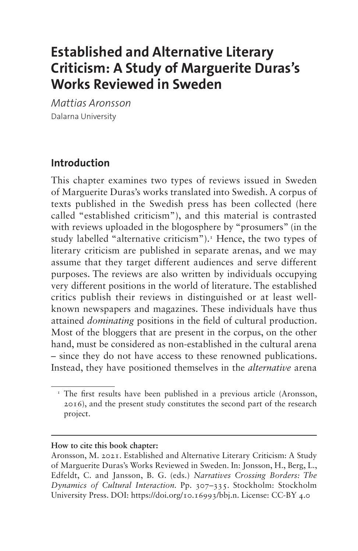# **Established and Alternative Literary Criticism: A Study of Marguerite Duras's Works Reviewed in Sweden**

*Mattias Aronsson* Dalarna University

### **Introduction**

This chapter examines two types of reviews issued in Sweden of Marguerite Duras's works translated into Swedish. A corpus of texts published in the Swedish press has been collected (here called "established criticism"), and this material is contrasted with reviews uploaded in the blogosphere by "prosumers" (in the study labelled "alternative criticism").<sup>[1](#page-0-0)</sup> Hence, the two types of literary criticism are published in separate arenas, and we may assume that they target different audiences and serve different purposes. The reviews are also written by individuals occupying very different positions in the world of literature. The established critics publish their reviews in distinguished or at least wellknown newspapers and magazines. These individuals have thus attained *dominating* positions in the field of cultural production. Most of the bloggers that are present in the corpus, on the other hand, must be considered as non-established in the cultural arena – since they do not have access to these renowned publications. Instead, they have positioned themselves in the *alternative* arena

#### **How to cite this book chapter:**

<span id="page-0-0"></span><sup>&</sup>lt;sup>1</sup> The first results have been published in a previous article (Aronsson, 2016), and the present study constitutes the second part of the research project.

Aronsson, M. 2021. Established and Alternative Literary Criticism: A Study of Marguerite Duras's Works Reviewed in Sweden. In: Jonsson, H., Berg, L., Edfeldt, C. and Jansson, B. G. (eds.) *Narratives Crossing Borders: The Dynamics of Cultural Interaction.* Pp. 307–335. Stockholm: Stockholm University Press. DOI: [https://doi.org/10.16993/bbj.n.](https://doi.org/10.16993/bbj.n) License: CC-BY 4.0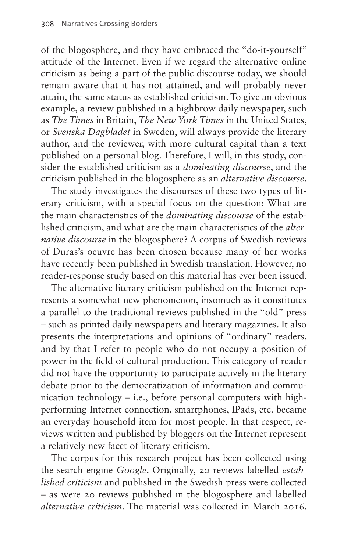of the blogosphere, and they have embraced the "do-it-yourself" attitude of the Internet. Even if we regard the alternative online criticism as being a part of the public discourse today, we should remain aware that it has not attained, and will probably never attain, the same status as established criticism. To give an obvious example, a review published in a highbrow daily newspaper, such as *The Times* in Britain, *The New York Times* in the United States, or *Svenska Dagbladet* in Sweden, will always provide the literary author, and the reviewer, with more cultural capital than a text published on a personal blog. Therefore, I will, in this study, consider the established criticism as a *dominating discourse*, and the criticism published in the blogosphere as an *alternative discourse*.

The study investigates the discourses of these two types of literary criticism, with a special focus on the question: What are the main characteristics of the *dominating discourse* of the established criticism, and what are the main characteristics of the *alternative discourse* in the blogosphere? A corpus of Swedish reviews of Duras's oeuvre has been chosen because many of her works have recently been published in Swedish translation. However, no reader-response study based on this material has ever been issued.

The alternative literary criticism published on the Internet represents a somewhat new phenomenon, insomuch as it constitutes a parallel to the traditional reviews published in the "old" press – such as printed daily newspapers and literary magazines. It also presents the interpretations and opinions of "ordinary" readers, and by that I refer to people who do not occupy a position of power in the field of cultural production. This category of reader did not have the opportunity to participate actively in the literary debate prior to the democratization of information and communication technology – i.e., before personal computers with highperforming Internet connection, smartphones, IPads, etc. became an everyday household item for most people. In that respect, reviews written and published by bloggers on the Internet represent a relatively new facet of literary criticism.

The corpus for this research project has been collected using the search engine *Google*. Originally, 20 reviews labelled *established criticism* and published in the Swedish press were collected – as were 20 reviews published in the blogosphere and labelled *alternative criticism*. The material was collected in March 2016.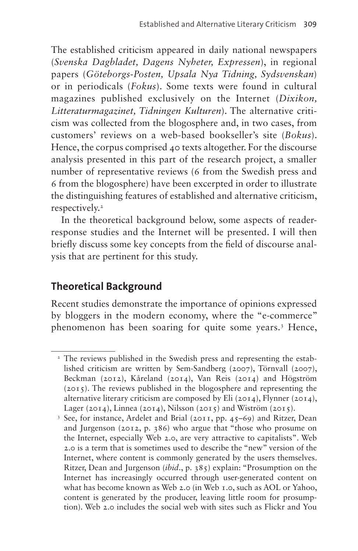The established criticism appeared in daily national newspapers (*Svenska Dagbladet, Dagens Nyheter, Expressen*), in regional papers (*Göteborgs-Posten, Upsala Nya Tidning, Sydsvenskan*) or in periodicals (*Fokus*). Some texts were found in cultural magazines published exclusively on the Internet (*Dixikon, Litteraturmagazinet, Tidningen Kulturen*). The alternative criticism was collected from the blogosphere and, in two cases, from customers' reviews on a web-based bookseller's site (*Bokus*). Hence, the corpus comprised 40 texts altogether. For the discourse analysis presented in this part of the research project, a smaller number of representative reviews (6 from the Swedish press and 6 from the blogosphere) have been excerpted in order to illustrate the distinguishing features of established and alternative criticism, respectively.<sup>2</sup>

In the theoretical background below, some aspects of readerresponse studies and the Internet will be presented. I will then briefly discuss some key concepts from the field of discourse analysis that are pertinent for this study.

## **Theoretical Background**

Recent studies demonstrate the importance of opinions expressed by bloggers in the modern economy, where the "e-commerce" phenomenon has been soaring for quite some years[.3](#page-2-1) Hence,

<span id="page-2-0"></span><sup>&</sup>lt;sup>2</sup> The reviews published in the Swedish press and representing the established criticism are written by Sem-Sandberg (2007), Törnvall (2007), Beckman (2012), Kåreland (2014), Van Reis (2014) and Högström (2015). The reviews published in the blogosphere and representing the alternative literary criticism are composed by Eli (2014), Flynner (2014), Lager (2014), Linnea (2014), Nilsson (2015) and Wiström (2015).

<span id="page-2-1"></span><sup>&</sup>lt;sup>3</sup> See, for instance, Ardelet and Brial (2011, pp. 45-69) and Ritzer, Dean and Jurgenson (2012, p. 386) who argue that "those who prosume on the Internet, especially Web 2.0, are very attractive to capitalists". Web 2.0 is a term that is sometimes used to describe the "new" version of the Internet, where content is commonly generated by the users themselves. Ritzer, Dean and Jurgenson (*ibid*., p. 385) explain: "Prosumption on the Internet has increasingly occurred through user-generated content on what has become known as Web 2.0 (in Web 1.0, such as AOL or Yahoo, content is generated by the producer, leaving little room for prosumption). Web 2.0 includes the social web with sites such as Flickr and You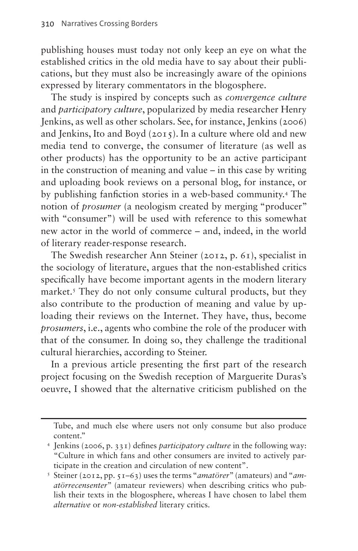publishing houses must today not only keep an eye on what the established critics in the old media have to say about their publications, but they must also be increasingly aware of the opinions expressed by literary commentators in the blogosphere.

The study is inspired by concepts such as *convergence culture* and *participatory culture*, popularized by media researcher Henry Jenkins, as well as other scholars. See, for instance, Jenkins (2006) and Jenkins, Ito and Boyd  $(2015)$ . In a culture where old and new media tend to converge, the consumer of literature (as well as other products) has the opportunity to be an active participant in the construction of meaning and value – in this case by writing and uploading book reviews on a personal blog, for instance, or by publishing fanfiction stories in a web-based community[.4](#page-3-0) The notion of *prosumer* (a neologism created by merging "producer" with "consumer") will be used with reference to this somewhat new actor in the world of commerce – and, indeed, in the world of literary reader-response research.

The Swedish researcher Ann Steiner (2012, p. 61), specialist in the sociology of literature, argues that the non-established critics specifically have become important agents in the modern literary market.<sup>5</sup> They do not only consume cultural products, but they also contribute to the production of meaning and value by uploading their reviews on the Internet. They have, thus, become *prosumers*, i.e., agents who combine the role of the producer with that of the consumer. In doing so, they challenge the traditional cultural hierarchies, according to Steiner.

In a previous article presenting the first part of the research project focusing on the Swedish reception of Marguerite Duras's oeuvre, I showed that the alternative criticism published on the

Tube, and much else where users not only consume but also produce content."

<span id="page-3-0"></span><sup>4</sup> Jenkins (2006, p. 331) defines *participatory culture* in the following way: "Culture in which fans and other consumers are invited to actively participate in the creation and circulation of new content".

<span id="page-3-1"></span><sup>5</sup> Steiner (2012, pp. 51–63) uses the terms "*amatörer*" (amateurs) and "*amatörrecensenter*" (amateur reviewers) when describing critics who publish their texts in the blogosphere, whereas I have chosen to label them *alternative* or *non-established* literary critics.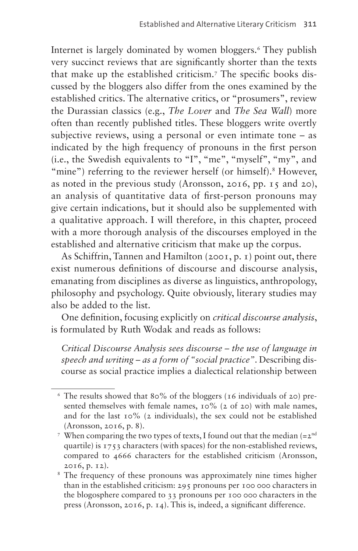Internet is largely dominated by women bloggers[.6](#page-4-0) They publish very succinct reviews that are significantly shorter than the texts that make up the established criticism.[7](#page-4-1) The specific books discussed by the bloggers also differ from the ones examined by the established critics. The alternative critics, or "prosumers", review the Durassian classics (e.g., *The Lover* and *The Sea Wall*) more often than recently published titles. These bloggers write overtly subjective reviews, using a personal or even intimate tone – as indicated by the high frequency of pronouns in the first person (i.e., the Swedish equivalents to "I", "me", "myself", "my", and "mine") referring to the reviewer herself (or himself).<sup>[8](#page-4-2)</sup> However, as noted in the previous study (Aronsson, 2016, pp. 15 and 20), an analysis of quantitative data of first-person pronouns may give certain indications, but it should also be supplemented with a qualitative approach. I will therefore, in this chapter, proceed with a more thorough analysis of the discourses employed in the established and alternative criticism that make up the corpus.

As Schiffrin, Tannen and Hamilton (2001, p. 1) point out, there exist numerous definitions of discourse and discourse analysis, emanating from disciplines as diverse as linguistics, anthropology, philosophy and psychology. Quite obviously, literary studies may also be added to the list.

One definition, focusing explicitly on *critical discourse analysis*, is formulated by Ruth Wodak and reads as follows:

*Critical Discourse Analysis sees discourse – the use of language in speech and writing – as a form of "social practice"*. Describing discourse as social practice implies a dialectical relationship between

<span id="page-4-0"></span><sup>6</sup> The results showed that 80% of the bloggers (16 individuals of 20) presented themselves with female names, 10% (2 of 20) with male names, and for the last 10% (2 individuals), the sex could not be established (Aronsson, 2016, p. 8).

<span id="page-4-1"></span><sup>&</sup>lt;sup>7</sup> When comparing the two types of texts, I found out that the median  $(=2<sup>nd</sup>$ quartile) is 1753 characters (with spaces) for the non-established reviews, compared to 4666 characters for the established criticism (Aronsson, 2016, p. 12).

<span id="page-4-2"></span><sup>&</sup>lt;sup>8</sup> The frequency of these pronouns was approximately nine times higher than in the established criticism: 295 pronouns per 100 000 characters in the blogosphere compared to 33 pronouns per 100 000 characters in the press (Aronsson, 2016, p. 14). This is, indeed, a significant difference.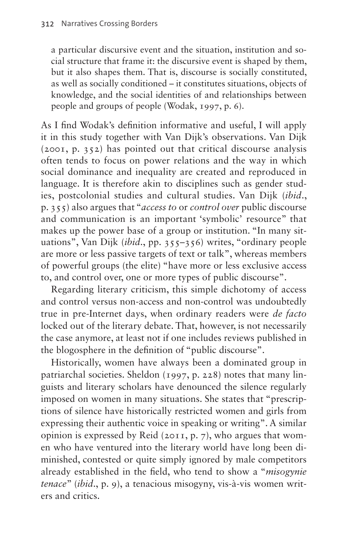a particular discursive event and the situation, institution and social structure that frame it: the discursive event is shaped by them, but it also shapes them. That is, discourse is socially constituted, as well as socially conditioned – it constitutes situations, objects of knowledge, and the social identities of and relationships between people and groups of people (Wodak, 1997, p. 6).

As I find Wodak's definition informative and useful, I will apply it in this study together with Van Dijk's observations. Van Dijk (2001, p. 352) has pointed out that critical discourse analysis often tends to focus on power relations and the way in which social dominance and inequality are created and reproduced in language. It is therefore akin to disciplines such as gender studies, postcolonial studies and cultural studies. Van Dijk (*ibid*., p. 355) also argues that "*access to* or *control over* public discourse and communication is an important 'symbolic' resource" that makes up the power base of a group or institution. "In many situations", Van Dijk (*ibid*., pp. 355–356) writes, "ordinary people are more or less passive targets of text or talk", whereas members of powerful groups (the elite) "have more or less exclusive access to, and control over, one or more types of public discourse".

Regarding literary criticism, this simple dichotomy of access and control versus non-access and non-control was undoubtedly true in pre-Internet days, when ordinary readers were *de facto*  locked out of the literary debate. That, however, is not necessarily the case anymore, at least not if one includes reviews published in the blogosphere in the definition of "public discourse".

Historically, women have always been a dominated group in patriarchal societies. Sheldon (1997, p. 228) notes that many linguists and literary scholars have denounced the silence regularly imposed on women in many situations. She states that "prescriptions of silence have historically restricted women and girls from expressing their authentic voice in speaking or writing". A similar opinion is expressed by Reid (2011, p. 7), who argues that women who have ventured into the literary world have long been diminished, contested or quite simply ignored by male competitors already established in the field, who tend to show a "*misogynie tenace*" (*ibid*., p. 9), a tenacious misogyny, vis-à-vis women writers and critics.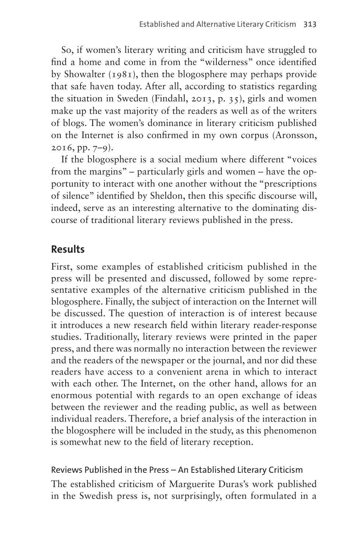So, if women's literary writing and criticism have struggled to find a home and come in from the "wilderness" once identified by Showalter (1981), then the blogosphere may perhaps provide that safe haven today. After all, according to statistics regarding the situation in Sweden (Findahl, 2013, p. 35), girls and women make up the vast majority of the readers as well as of the writers of blogs. The women's dominance in literary criticism published on the Internet is also confirmed in my own corpus (Aronsson,  $2016$ , pp.  $7-9$ ).

If the blogosphere is a social medium where different "voices from the margins" – particularly girls and women – have the opportunity to interact with one another without the "prescriptions of silence" identified by Sheldon, then this specific discourse will, indeed, serve as an interesting alternative to the dominating discourse of traditional literary reviews published in the press.

### **Results**

First, some examples of established criticism published in the press will be presented and discussed, followed by some representative examples of the alternative criticism published in the blogosphere. Finally, the subject of interaction on the Internet will be discussed. The question of interaction is of interest because it introduces a new research field within literary reader-response studies. Traditionally, literary reviews were printed in the paper press, and there was normally no interaction between the reviewer and the readers of the newspaper or the journal, and nor did these readers have access to a convenient arena in which to interact with each other. The Internet, on the other hand, allows for an enormous potential with regards to an open exchange of ideas between the reviewer and the reading public, as well as between individual readers. Therefore, a brief analysis of the interaction in the blogosphere will be included in the study, as this phenomenon is somewhat new to the field of literary reception.

#### Reviews Published in the Press – An Established Literary Criticism

The established criticism of Marguerite Duras's work published in the Swedish press is, not surprisingly, often formulated in a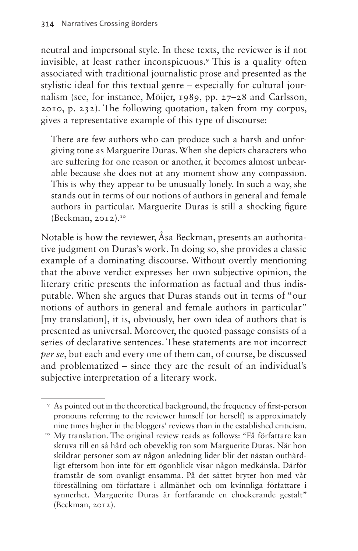neutral and impersonal style. In these texts, the reviewer is if not invisible, at least rather inconspicuous[.9](#page-7-0) This is a quality often associated with traditional journalistic prose and presented as the stylistic ideal for this textual genre – especially for cultural journalism (see, for instance, Möijer, 1989, pp. 27–28 and Carlsson, 2010, p. 232). The following quotation, taken from my corpus, gives a representative example of this type of discourse:

There are few authors who can produce such a harsh and unforgiving tone as Marguerite Duras. When she depicts characters who are suffering for one reason or another, it becomes almost unbearable because she does not at any moment show any compassion. This is why they appear to be unusually lonely. In such a way, she stands out in terms of our notions of authors in general and female authors in particular. Marguerite Duras is still a shocking figure  $(Beckman, 2012).$ <sup>[10](#page-7-1)</sup>

Notable is how the reviewer, Åsa Beckman, presents an authoritative judgment on Duras's work. In doing so, she provides a classic example of a dominating discourse. Without overtly mentioning that the above verdict expresses her own subjective opinion, the literary critic presents the information as factual and thus indisputable. When she argues that Duras stands out in terms of "our notions of authors in general and female authors in particular" [my translation], it is, obviously, her own idea of authors that is presented as universal. Moreover, the quoted passage consists of a series of declarative sentences. These statements are not incorrect *per se*, but each and every one of them can, of course, be discussed and problematized – since they are the result of an individual's subjective interpretation of a literary work.

<span id="page-7-0"></span><sup>9</sup> As pointed out in the theoretical background, the frequency of first-person pronouns referring to the reviewer himself (or herself) is approximately nine times higher in the bloggers' reviews than in the established criticism. 10 My translation. The original review reads as follows: "Få författare kan

<span id="page-7-1"></span>skruva till en så hård och obeveklig ton som Marguerite Duras. När hon skildrar personer som av någon anledning lider blir det nästan outhärdligt eftersom hon inte för ett ögonblick visar någon medkänsla. Därför framstår de som ovanligt ensamma. På det sättet bryter hon med vår föreställning om författare i allmänhet och om kvinnliga författare i synnerhet. Marguerite Duras är fortfarande en chockerande gestalt" (Beckman, 2012).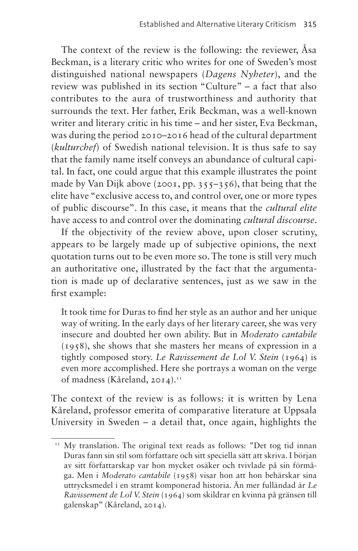The context of the review is the following: the reviewer, Åsa Beckman, is a literary critic who writes for one of Sweden's most distinguished national newspapers (*Dagens Nyheter*), and the review was published in its section "Culture" – a fact that also contributes to the aura of trustworthiness and authority that surrounds the text. Her father, Erik Beckman, was a well-known writer and literary critic in his time – and her sister, Eva Beckman, was during the period 2010–2016 head of the cultural department (*kulturchef*) of Swedish national television. It is thus safe to say that the family name itself conveys an abundance of cultural capital. In fact, one could argue that this example illustrates the point made by Van Dijk above (2001, pp. 355–356), that being that the elite have "exclusive access to, and control over, one or more types of public discourse". In this case, it means that the *cultural elite* have access to and control over the dominating *cultural discourse*.

If the objectivity of the review above, upon closer scrutiny, appears to be largely made up of subjective opinions, the next quotation turns out to be even more so. The tone is still very much an authoritative one, illustrated by the fact that the argumentation is made up of declarative sentences, just as we saw in the first example:

It took time for Duras to find her style as an author and her unique way of writing. In the early days of her literary career, she was very insecure and doubted her own ability. But in *Moderato cantabile* (1958), she shows that she masters her means of expression in a tightly composed story. *Le Ravissement de Lol V. Stein* (1964) is even more accomplished. Here she portrays a woman on the verge of madness (Kåreland, 2014).<sup>11</sup>

The context of the review is as follows: it is written by Lena Kåreland, professor emerita of comparative literature at Uppsala University in Sweden – a detail that, once again, highlights the

<span id="page-8-0"></span><sup>&</sup>lt;sup>11</sup> My translation. The original text reads as follows: "Det tog tid innan Duras fann sin stil som författare och sitt speciella sätt att skriva. I början av sitt författarskap var hon mycket osäker och tvivlade på sin förmåga. Men i *Moderato cantabile* (1958) visar hon att hon behärskar sina uttrycksmedel i en stramt komponerad historia. Än mer fulländad är *Le Ravissement de Lol V. Stein* (1964) som skildrar en kvinna på gränsen till galenskap" (Kåreland, 2014).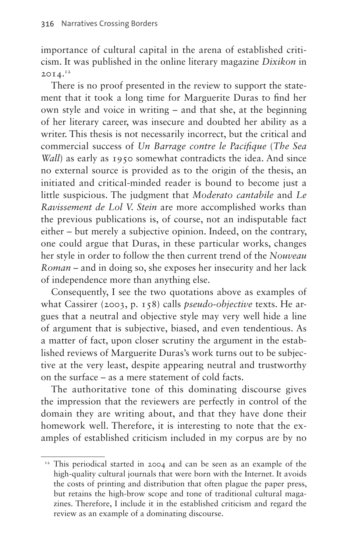importance of cultural capital in the arena of established criticism. It was published in the online literary magazine *Dixikon* in  $20I4.<sup>12</sup>$  $20I4.<sup>12</sup>$  $20I4.<sup>12</sup>$ 

There is no proof presented in the review to support the statement that it took a long time for Marguerite Duras to find her own style and voice in writing – and that she, at the beginning of her literary career, was insecure and doubted her ability as a writer. This thesis is not necessarily incorrect, but the critical and commercial success of *Un Barrage contre le Pacifique* (*The Sea Wall*) as early as 1950 somewhat contradicts the idea. And since no external source is provided as to the origin of the thesis, an initiated and critical-minded reader is bound to become just a little suspicious. The judgment that *Moderato cantabile* and *Le Ravissement de Lol V. Stein* are more accomplished works than the previous publications is, of course, not an indisputable fact either – but merely a subjective opinion. Indeed, on the contrary, one could argue that Duras, in these particular works, changes her style in order to follow the then current trend of the *Nouveau Roman* – and in doing so, she exposes her insecurity and her lack of independence more than anything else.

Consequently, I see the two quotations above as examples of what Cassirer (2003, p. 158) calls *pseudo-objective* texts. He argues that a neutral and objective style may very well hide a line of argument that is subjective, biased, and even tendentious. As a matter of fact, upon closer scrutiny the argument in the established reviews of Marguerite Duras's work turns out to be subjective at the very least, despite appearing neutral and trustworthy on the surface – as a mere statement of cold facts.

The authoritative tone of this dominating discourse gives the impression that the reviewers are perfectly in control of the domain they are writing about, and that they have done their homework well. Therefore, it is interesting to note that the examples of established criticism included in my corpus are by no

<span id="page-9-0"></span><sup>&</sup>lt;sup>12</sup> This periodical started in 2004 and can be seen as an example of the high-quality cultural journals that were born with the Internet. It avoids the costs of printing and distribution that often plague the paper press, but retains the high-brow scope and tone of traditional cultural magazines. Therefore, I include it in the established criticism and regard the review as an example of a dominating discourse.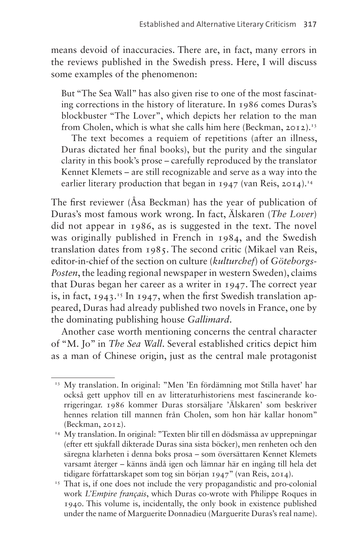means devoid of inaccuracies. There are, in fact, many errors in the reviews published in the Swedish press. Here, I will discuss some examples of the phenomenon:

But "The Sea Wall" has also given rise to one of the most fascinating corrections in the history of literature. In 1986 comes Duras's blockbuster "The Lover", which depicts her relation to the man from Cholen, which is what she calls him here (Beckman, 2012).<sup>13</sup>

The text becomes a requiem of repetitions (after an illness, Duras dictated her final books), but the purity and the singular clarity in this book's prose – carefully reproduced by the translator Kennet Klemets – are still recognizable and serve as a way into the earlier literary production that began in  $1947$  (van Reis, 20[14](#page-10-1)).<sup>14</sup>

The first reviewer (Åsa Beckman) has the year of publication of Duras's most famous work wrong. In fact, Älskaren (*The Lover*) did not appear in 1986, as is suggested in the text. The novel was originally published in French in 1984, and the Swedish translation dates from 1985. The second critic (Mikael van Reis, editor-in-chief of the section on culture (*kulturchef*) of *Göteborgs-Posten*, the leading regional newspaper in western Sweden), claims that Duras began her career as a writer in 1947. The correct year is, in fact,  $1943.^{15}$  $1943.^{15}$  $1943.^{15}$  In 1947, when the first Swedish translation appeared, Duras had already published two novels in France, one by the dominating publishing house *Gallimard*.

Another case worth mentioning concerns the central character of "M. Jo" in *The Sea Wall*. Several established critics depict him as a man of Chinese origin, just as the central male protagonist

<span id="page-10-0"></span><sup>&</sup>lt;sup>13</sup> My translation. In original: "Men 'En fördämning mot Stilla havet' har också gett upphov till en av litteraturhistoriens mest fascinerande korrigeringar. 1986 kommer Duras storsäljare 'Älskaren' som beskriver hennes relation till mannen från Cholen, som hon här kallar honom" (Beckman, 2012).

<span id="page-10-1"></span><sup>&</sup>lt;sup>14</sup> My translation. In original: "Texten blir till en dödsmässa av upprepningar (efter ett sjukfall dikterade Duras sina sista böcker), men renheten och den säregna klarheten i denna boks prosa – som översättaren Kennet Klemets varsamt återger – känns ändå igen och lämnar här en ingång till hela det tidigare författarskapet som tog sin början 1947" (van Reis, 2014).

<span id="page-10-2"></span><sup>&</sup>lt;sup>15</sup> That is, if one does not include the very propagandistic and pro-colonial work *L'Empire français*, which Duras co-wrote with Philippe Roques in 1940. This volume is, incidentally, the only book in existence published under the name of Marguerite Donnadieu (Marguerite Duras's real name).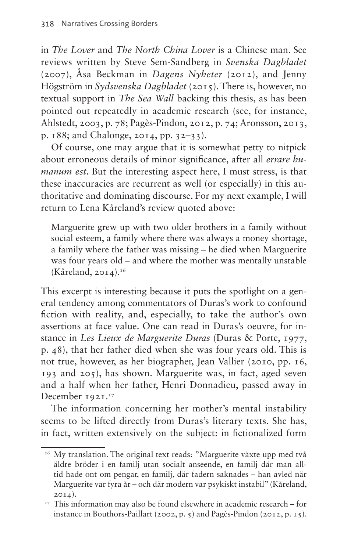in *The Lover* and *The North China Lover* is a Chinese man. See reviews written by Steve Sem-Sandberg in *Svenska Dagbladet* (2007), Åsa Beckman in *Dagens Nyheter* (2012), and Jenny Högström in *Sydsvenska Dagbladet* (2015). There is, however, no textual support in *The Sea Wall* backing this thesis, as has been pointed out repeatedly in academic research (see, for instance, Ahlstedt, 2003, p. 78; Pagès-Pindon, 2012, p. 74; Aronsson, 2013, p. 188; and Chalonge, 2014, pp. 32–33).

Of course, one may argue that it is somewhat petty to nitpick about erroneous details of minor significance, after all *errare humanum est*. But the interesting aspect here, I must stress, is that these inaccuracies are recurrent as well (or especially) in this authoritative and dominating discourse. For my next example, I will return to Lena Kåreland's review quoted above:

Marguerite grew up with two older brothers in a family without social esteem, a family where there was always a money shortage, a family where the father was missing – he died when Marguerite was four years old – and where the mother was mentally unstable  $(K\text{åreland}, 2014).$ <sup>16</sup>

This excerpt is interesting because it puts the spotlight on a general tendency among commentators of Duras's work to confound fiction with reality, and, especially, to take the author's own assertions at face value. One can read in Duras's oeuvre, for instance in *Les Lieux de Marguerite Duras* (Duras & Porte, 1977, p. 48), that her father died when she was four years old. This is not true, however, as her biographer, Jean Vallier (2010, pp. 16, 193 and 205), has shown. Marguerite was, in fact, aged seven and a half when her father, Henri Donnadieu, passed away in December 1921.<sup>17</sup>

The information concerning her mother's mental instability seems to be lifted directly from Duras's literary texts. She has, in fact, written extensively on the subject: in fictionalized form

<span id="page-11-0"></span><sup>&</sup>lt;sup>16</sup> My translation. The original text reads: "Marguerite växte upp med två äldre bröder i en familj utan socialt anseende, en familj där man alltid hade ont om pengar, en familj, där fadern saknades – han avled när Marguerite var fyra år – och där modern var psykiskt instabil" (Kåreland, 2014).

<span id="page-11-1"></span> $17$  This information may also be found elsewhere in academic research – for instance in Bouthors-Paillart (2002, p. 5) and Pagès-Pindon (2012, p. 15).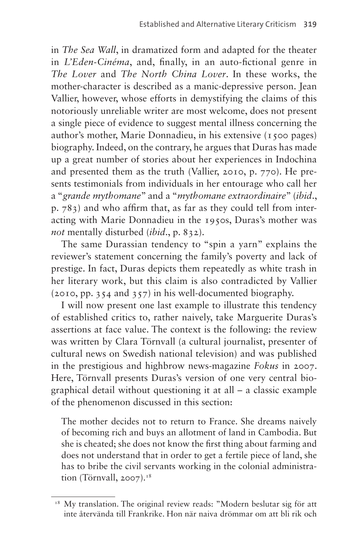in *The Sea Wall*, in dramatized form and adapted for the theater in *L'Eden-Cinéma*, and, finally, in an auto-fictional genre in *The Lover* and *The North China Lover*. In these works, the mother-character is described as a manic-depressive person. Jean Vallier, however, whose efforts in demystifying the claims of this notoriously unreliable writer are most welcome, does not present a single piece of evidence to suggest mental illness concerning the author's mother, Marie Donnadieu, in his extensive (1500 pages) biography. Indeed, on the contrary, he argues that Duras has made up a great number of stories about her experiences in Indochina and presented them as the truth (Vallier, 2010, p. 770). He presents testimonials from individuals in her entourage who call her a "*grande mythomane*" and a "*mythomane extraordinaire*" (*ibid*., p. 783) and who affirm that, as far as they could tell from interacting with Marie Donnadieu in the 1950s, Duras's mother was *not* mentally disturbed (*ibid*., p. 832).

The same Durassian tendency to "spin a yarn" explains the reviewer's statement concerning the family's poverty and lack of prestige. In fact, Duras depicts them repeatedly as white trash in her literary work, but this claim is also contradicted by Vallier (2010, pp. 354 and 357) in his well-documented biography.

I will now present one last example to illustrate this tendency of established critics to, rather naively, take Marguerite Duras's assertions at face value. The context is the following: the review was written by Clara Törnvall (a cultural journalist, presenter of cultural news on Swedish national television) and was published in the prestigious and highbrow news-magazine *Fokus* in 2007. Here, Törnvall presents Duras's version of one very central biographical detail without questioning it at all – a classic example of the phenomenon discussed in this section:

The mother decides not to return to France. She dreams naively of becoming rich and buys an allotment of land in Cambodia. But she is cheated; she does not know the first thing about farming and does not understand that in order to get a fertile piece of land, she has to bribe the civil servants working in the colonial administration (Törnvall,  $2007$ ).<sup>[18](#page-12-0)</sup>

<span id="page-12-0"></span><sup>&</sup>lt;sup>18</sup> My translation. The original review reads: "Modern beslutar sig för att inte återvända till Frankrike. Hon när naiva drömmar om att bli rik och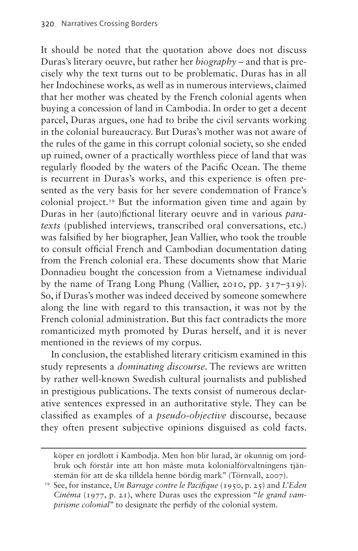It should be noted that the quotation above does not discuss Duras's literary oeuvre, but rather her *biography* – and that is precisely why the text turns out to be problematic. Duras has in all her Indochinese works, as well as in numerous interviews, claimed that her mother was cheated by the French colonial agents when buying a concession of land in Cambodia. In order to get a decent parcel, Duras argues, one had to bribe the civil servants working in the colonial bureaucracy. But Duras's mother was not aware of the rules of the game in this corrupt colonial society, so she ended up ruined, owner of a practically worthless piece of land that was regularly flooded by the waters of the Pacific Ocean. The theme is recurrent in Duras's works, and this experience is often presented as the very basis for her severe condemnation of France's colonial project[.19](#page-13-0) But the information given time and again by Duras in her (auto)fictional literary oeuvre and in various *paratexts* (published interviews, transcribed oral conversations, etc.) was falsified by her biographer, Jean Vallier, who took the trouble to consult official French and Cambodian documentation dating from the French colonial era. These documents show that Marie Donnadieu bought the concession from a Vietnamese individual by the name of Trang Long Phung (Vallier, 2010, pp. 317–319). So, if Duras's mother was indeed deceived by someone somewhere along the line with regard to this transaction, it was not by the French colonial administration. But this fact contradicts the more romanticized myth promoted by Duras herself, and it is never mentioned in the reviews of my corpus.

In conclusion, the established literary criticism examined in this study represents a *dominating discourse*. The reviews are written by rather well-known Swedish cultural journalists and published in prestigious publications. The texts consist of numerous declarative sentences expressed in an authoritative style. They can be classified as examples of a *pseudo-objective* discourse, because they often present subjective opinions disguised as cold facts.

köper en jordlott i Kambodja. Men hon blir lurad, är okunnig om jordbruk och förstår inte att hon måste muta kolonialförvaltningens tjänstemän för att de ska tilldela henne bördig mark" (Törnvall, 2007).

<span id="page-13-0"></span><sup>19</sup> See, for instance, *Un Barrage contre le Pacifique* (1950, p. 25) and *L'Eden Cinéma* (1977, p. 21), where Duras uses the expression "*le grand vampirisme colonial*" to designate the perfidy of the colonial system.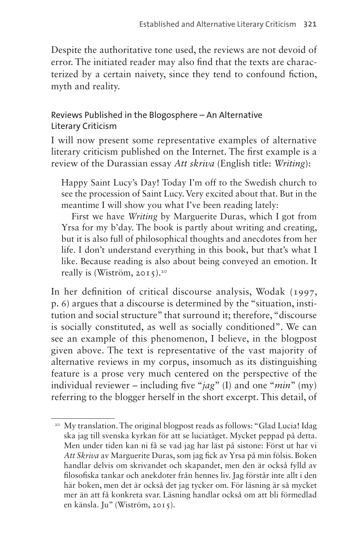Despite the authoritative tone used, the reviews are not devoid of error. The initiated reader may also find that the texts are characterized by a certain naivety, since they tend to confound fiction, myth and reality.

#### Reviews Published in the Blogosphere – An Alternative Literary Criticism

I will now present some representative examples of alternative literary criticism published on the Internet. The first example is a review of the Durassian essay *Att skriva* (English title: *Writing*):

Happy Saint Lucy's Day! Today I'm off to the Swedish church to see the procession of Saint Lucy. Very excited about that. But in the meantime I will show you what I've been reading lately:

First we have *Writing* by Marguerite Duras, which I got from Yrsa for my b'day. The book is partly about writing and creating, but it is also full of philosophical thoughts and anecdotes from her life. I don't understand everything in this book, but that's what I like. Because reading is also about being conveyed an emotion. It really is (Wiström,  $2015$  $2015$ ).<sup>20</sup>

In her definition of critical discourse analysis, Wodak (1997, p. 6) argues that a discourse is determined by the "situation, institution and social structure" that surround it; therefore, "discourse is socially constituted, as well as socially conditioned". We can see an example of this phenomenon, I believe, in the blogpost given above. The text is representative of the vast majority of alternative reviews in my corpus, insomuch as its distinguishing feature is a prose very much centered on the perspective of the individual reviewer – including five "*jag*" (I) and one "*min*" (my) referring to the blogger herself in the short excerpt. This detail, of

<span id="page-14-0"></span><sup>&</sup>lt;sup>20</sup> My translation. The original blogpost reads as follows: "Glad Lucia! Idag ska jag till svenska kyrkan för att se luciatåget. Mycket peppad på detta. Men under tiden kan ni få se vad jag har läst på sistone: Först ut har vi *Att Skriva* av Marguerite Duras, som jag fick av Yrsa på min fölsis. Boken handlar delvis om skrivandet och skapandet, men den är också fylld av filosofiska tankar och anekdoter från hennes liv. Jag förstår inte allt i den här boken, men det är också det jag tycker om. För läsning är så mycket mer än att få konkreta svar. Läsning handlar också om att bli förmedlad en känsla. Ju" (Wiström, 2015).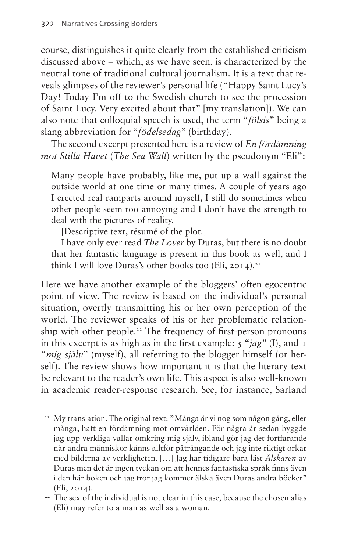course, distinguishes it quite clearly from the established criticism discussed above – which, as we have seen, is characterized by the neutral tone of traditional cultural journalism. It is a text that reveals glimpses of the reviewer's personal life ("Happy Saint Lucy's Day! Today I'm off to the Swedish church to see the procession of Saint Lucy. Very excited about that" [my translation]). We can also note that colloquial speech is used, the term "*fölsis*" being a slang abbreviation for "*födelsedag*" (birthday).

The second excerpt presented here is a review of *En fördämning mot Stilla Havet* (*The Sea Wall*) written by the pseudonym "Eli":

Many people have probably, like me, put up a wall against the outside world at one time or many times. A couple of years ago I erected real ramparts around myself, I still do sometimes when other people seem too annoying and I don't have the strength to deal with the pictures of reality.

[Descriptive text, résumé of the plot.]

I have only ever read *The Lover* by Duras, but there is no doubt that her fantastic language is present in this book as well, and I think I will love Duras's other books too (Eli, 2014).<sup>[21](#page-15-0)</sup>

Here we have another example of the bloggers' often egocentric point of view. The review is based on the individual's personal situation, overtly transmitting his or her own perception of the world. The reviewer speaks of his or her problematic relationship with other people.<sup>22</sup> The frequency of first-person pronouns in this excerpt is as high as in the first example: 5 "*jag*" (I), and 1 "*mig själv*" (myself), all referring to the blogger himself (or herself). The review shows how important it is that the literary text be relevant to the reader's own life. This aspect is also well-known in academic reader-response research. See, for instance, Sarland

<span id="page-15-0"></span><sup>&</sup>lt;sup>21</sup> My translation. The original text: "Många är vi nog som någon gång, eller många, haft en fördämning mot omvärlden. För några år sedan byggde jag upp verkliga vallar omkring mig själv, ibland gör jag det fortfarande när andra människor känns alltför påträngande och jag inte riktigt orkar med bilderna av verkligheten. […] Jag har tidigare bara läst *Älskaren* av Duras men det är ingen tvekan om att hennes fantastiska språk finns även i den här boken och jag tror jag kommer älska även Duras andra böcker" (Eli, 2014).

<span id="page-15-1"></span><sup>&</sup>lt;sup>22</sup> The sex of the individual is not clear in this case, because the chosen alias (Eli) may refer to a man as well as a woman.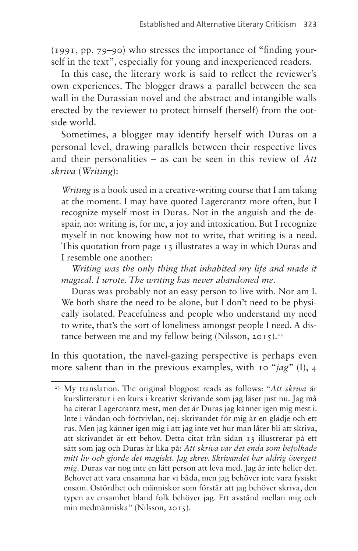(1991, pp. 79–90) who stresses the importance of "finding yourself in the text", especially for young and inexperienced readers.

In this case, the literary work is said to reflect the reviewer's own experiences. The blogger draws a parallel between the sea wall in the Durassian novel and the abstract and intangible walls erected by the reviewer to protect himself (herself) from the outside world.

Sometimes, a blogger may identify herself with Duras on a personal level, drawing parallels between their respective lives and their personalities – as can be seen in this review of *Att skriva* (*Writing*):

*Writing* is a book used in a creative-writing course that I am taking at the moment. I may have quoted Lagercrantz more often, but I recognize myself most in Duras. Not in the anguish and the despair, no: writing is, for me, a joy and intoxication. But I recognize myself in not knowing how not to write, that writing is a need. This quotation from page 13 illustrates a way in which Duras and I resemble one another:

*Writing was the only thing that inhabited my life and made it magical. I wrote. The writing has never abandoned me*.

Duras was probably not an easy person to live with. Nor am I. We both share the need to be alone, but I don't need to be physically isolated. Peacefulness and people who understand my need to write, that's the sort of loneliness amongst people I need. A dis-tance between me and my fellow being (Nilsson, 2015).<sup>[23](#page-16-0)</sup>

In this quotation, the navel-gazing perspective is perhaps even more salient than in the previous examples, with 10 "*jag*" (I), 4

<span id="page-16-0"></span><sup>23</sup> My translation. The original blogpost reads as follows: "*Att skriva* är kurslitteratur i en kurs i kreativt skrivande som jag läser just nu. Jag må ha citerat Lagercrantz mest, men det är Duras jag känner igen mig mest i. Inte i våndan och förtvivlan, nej: skrivandet för mig är en glädje och ett rus. Men jag känner igen mig i att jag inte vet hur man låter bli att skriva, att skrivandet är ett behov. Detta citat från sidan 13 illustrerar på ett sätt som jag och Duras är lika på: *Att skriva var det enda som befolkade mitt liv och gjorde det magiskt. Jag skrev. Skrivandet har aldrig övergett mig*. Duras var nog inte en lätt person att leva med. Jag är inte heller det. Behovet att vara ensamma har vi båda, men jag behöver inte vara fysiskt ensam. Ostördhet och människor som förstår att jag behöver skriva, den typen av ensamhet bland folk behöver jag. Ett avstånd mellan mig och min medmänniska" (Nilsson, 2015).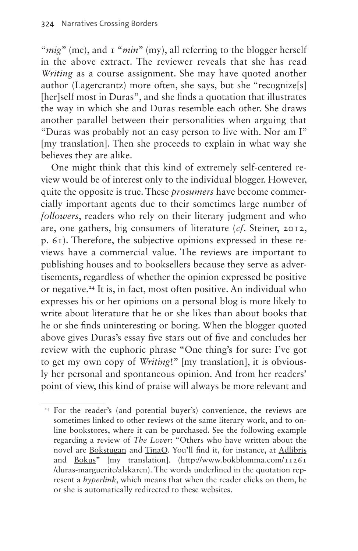"*mig*" (me), and 1 "*min*" (my), all referring to the blogger herself in the above extract. The reviewer reveals that she has read *Writing* as a course assignment. She may have quoted another author (Lagercrantz) more often, she says, but she "recognize[s] [her]self most in Duras", and she finds a quotation that illustrates the way in which she and Duras resemble each other. She draws another parallel between their personalities when arguing that "Duras was probably not an easy person to live with. Nor am I" [my translation]. Then she proceeds to explain in what way she believes they are alike.

One might think that this kind of extremely self-centered review would be of interest only to the individual blogger. However, quite the opposite is true. These *prosumers* have become commercially important agents due to their sometimes large number of *followers*, readers who rely on their literary judgment and who are, one gathers, big consumers of literature (*cf*. Steiner, 2012, p. 61). Therefore, the subjective opinions expressed in these reviews have a commercial value. The reviews are important to publishing houses and to booksellers because they serve as advertisements, regardless of whether the opinion expressed be positive or negative[.24](#page-17-0) It is, in fact, most often positive. An individual who expresses his or her opinions on a personal blog is more likely to write about literature that he or she likes than about books that he or she finds uninteresting or boring. When the blogger quoted above gives Duras's essay five stars out of five and concludes her review with the euphoric phrase "One thing's for sure: I've got to get my own copy of *Writing*!" [my translation], it is obviously her personal and spontaneous opinion. And from her readers' point of view, this kind of praise will always be more relevant and

<span id="page-17-0"></span><sup>&</sup>lt;sup>24</sup> For the reader's (and potential buyer's) convenience, the reviews are sometimes linked to other reviews of the same literary work, and to online bookstores, where it can be purchased. See the following example regarding a review of *The Lover*: "Others who have written about the novel are Bokstugan and TinaO. You'll find it, for instance, at Adlibris and Bokus" [my translation]. [\(http://www.bokblomma.com/11261](http://www.bokblomma.com/11261/­duras-marguerite/alskaren) [/duras-marguerite/alskaren\)](http://www.bokblomma.com/11261/­duras-marguerite/alskaren). The words underlined in the quotation represent a *hyperlink*, which means that when the reader clicks on them, he or she is automatically redirected to these websites.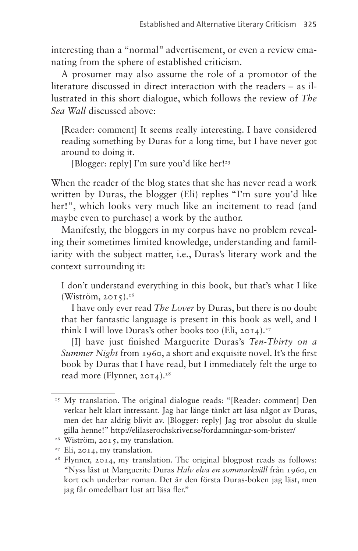interesting than a "normal" advertisement, or even a review emanating from the sphere of established criticism.

A prosumer may also assume the role of a promotor of the literature discussed in direct interaction with the readers – as illustrated in this short dialogue, which follows the review of *The Sea Wall* discussed above:

[Reader: comment] It seems really interesting. I have considered reading something by Duras for a long time, but I have never got around to doing it.

[Blogger: reply] I'm sure you'd like her!<sup>25</sup>

When the reader of the blog states that she has never read a work written by Duras, the blogger (Eli) replies "I'm sure you'd like her!", which looks very much like an incitement to read (and maybe even to purchase) a work by the author.

Manifestly, the bloggers in my corpus have no problem revealing their sometimes limited knowledge, understanding and familiarity with the subject matter, i.e., Duras's literary work and the context surrounding it:

I don't understand everything in this book, but that's what I like  $(Wistr\ddot{o}m, 2015).^{26}$ 

I have only ever read *The Lover* by Duras, but there is no doubt that her fantastic language is present in this book as well, and I think I will love Duras's other books too (Eli,  $20I4$ ).<sup>27</sup>

[I] have just finished Marguerite Duras's *Ten-Thirty on a Summer Night* from 1960, a short and exquisite novel. It's the first book by Duras that I have read, but I immediately felt the urge to read more (Flynner,  $20I4$ ).<sup>28</sup>

<span id="page-18-0"></span><sup>&</sup>lt;sup>25</sup> My translation. The original dialogue reads: "[Reader: comment] Den verkar helt klart intressant. Jag har länge tänkt att läsa något av Duras, men det har aldrig blivit av. [Blogger: reply] Jag tror absolut du skulle gilla henne!" <http://elilaserochskriver.se/fordamningar-som-brister/>

<span id="page-18-1"></span><sup>&</sup>lt;sup>26</sup> Wiström, 2015, my translation.

<span id="page-18-2"></span><sup>&</sup>lt;sup>27</sup> Eli, 2014, my translation.

<span id="page-18-3"></span><sup>&</sup>lt;sup>28</sup> Flynner, 2014, my translation. The original blogpost reads as follows: "Nyss läst ut Marguerite Duras *Halv elva en sommarkväll* från 1960, en kort och underbar roman. Det är den första Duras-boken jag läst, men jag får omedelbart lust att läsa fler."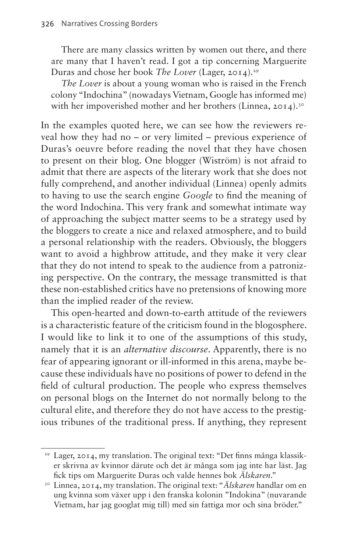There are many classics written by women out there, and there are many that I haven't read. I got a tip concerning Marguerite Duras and chose her book *The Lover* (Lager, 2014).[29](#page-19-0)

*The Lover* is about a young woman who is raised in the French colony "Indochina" (nowadays Vietnam, Google has informed me) with her impoverished mother and her brothers (Linnea, 2014).<sup>[30](#page-19-1)</sup>

In the examples quoted here, we can see how the reviewers reveal how they had no – or very limited – previous experience of Duras's oeuvre before reading the novel that they have chosen to present on their blog. One blogger (Wiström) is not afraid to admit that there are aspects of the literary work that she does not fully comprehend, and another individual (Linnea) openly admits to having to use the search engine *Google* to find the meaning of the word Indochina. This very frank and somewhat intimate way of approaching the subject matter seems to be a strategy used by the bloggers to create a nice and relaxed atmosphere, and to build a personal relationship with the readers. Obviously, the bloggers want to avoid a highbrow attitude, and they make it very clear that they do not intend to speak to the audience from a patronizing perspective. On the contrary, the message transmitted is that these non-established critics have no pretensions of knowing more than the implied reader of the review.

This open-hearted and down-to-earth attitude of the reviewers is a characteristic feature of the criticism found in the blogosphere. I would like to link it to one of the assumptions of this study, namely that it is an *alternative discourse*. Apparently, there is no fear of appearing ignorant or ill-informed in this arena, maybe because these individuals have no positions of power to defend in the field of cultural production. The people who express themselves on personal blogs on the Internet do not normally belong to the cultural elite, and therefore they do not have access to the prestigious tribunes of the traditional press. If anything, they represent

<span id="page-19-0"></span><sup>29</sup> Lager, 2014, my translation. The original text: "Det finns många klassiker skrivna av kvinnor därute och det är många som jag inte har läst. Jag fick tips om Marguerite Duras och valde hennes bok *Älskaren*."

<span id="page-19-1"></span><sup>30</sup> Linnea, 2014, my translation. The original text: "*Älskaren* handlar om en ung kvinna som växer upp i den franska kolonin "Indokina" (nuvarande Vietnam, har jag googlat mig till) med sin fattiga mor och sina bröder."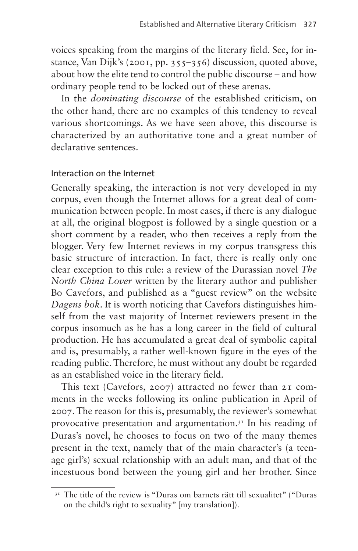voices speaking from the margins of the literary field. See, for instance, Van Dijk's (2001, pp. 355–356) discussion, quoted above, about how the elite tend to control the public discourse – and how ordinary people tend to be locked out of these arenas.

In the *dominating discourse* of the established criticism, on the other hand, there are no examples of this tendency to reveal various shortcomings. As we have seen above, this discourse is characterized by an authoritative tone and a great number of declarative sentences.

#### Interaction on the Internet

Generally speaking, the interaction is not very developed in my corpus, even though the Internet allows for a great deal of communication between people. In most cases, if there is any dialogue at all, the original blogpost is followed by a single question or a short comment by a reader, who then receives a reply from the blogger. Very few Internet reviews in my corpus transgress this basic structure of interaction. In fact, there is really only one clear exception to this rule: a review of the Durassian novel *The North China Lover* written by the literary author and publisher Bo Cavefors, and published as a "guest review" on the website *Dagens bok*. It is worth noticing that Cavefors distinguishes himself from the vast majority of Internet reviewers present in the corpus insomuch as he has a long career in the field of cultural production. He has accumulated a great deal of symbolic capital and is, presumably, a rather well-known figure in the eyes of the reading public. Therefore, he must without any doubt be regarded as an established voice in the literary field.

This text (Cavefors, 2007) attracted no fewer than 21 comments in the weeks following its online publication in April of 2007. The reason for this is, presumably, the reviewer's somewhat provocative presentation and argumentation.<sup>31</sup> In his reading of Duras's novel, he chooses to focus on two of the many themes present in the text, namely that of the main character's (a teenage girl's) sexual relationship with an adult man, and that of the incestuous bond between the young girl and her brother. Since

<span id="page-20-0"></span><sup>&</sup>lt;sup>31</sup> The title of the review is "Duras om barnets rätt till sexualitet" ("Duras on the child's right to sexuality" [my translation]).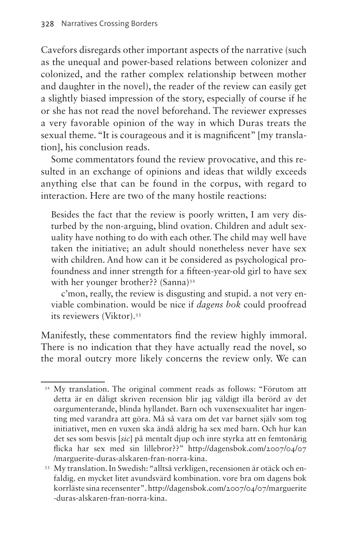Cavefors disregards other important aspects of the narrative (such as the unequal and power-based relations between colonizer and colonized, and the rather complex relationship between mother and daughter in the novel), the reader of the review can easily get a slightly biased impression of the story, especially of course if he or she has not read the novel beforehand. The reviewer expresses a very favorable opinion of the way in which Duras treats the sexual theme. "It is courageous and it is magnificent" [my translation], his conclusion reads.

Some commentators found the review provocative, and this resulted in an exchange of opinions and ideas that wildly exceeds anything else that can be found in the corpus, with regard to interaction. Here are two of the many hostile reactions:

Besides the fact that the review is poorly written, I am very disturbed by the non-arguing, blind ovation. Children and adult sexuality have nothing to do with each other. The child may well have taken the initiative; an adult should nonetheless never have sex with children. And how can it be considered as psychological profoundness and inner strength for a fifteen-year-old girl to have sex with her younger brother?? (Sanna)<sup>32</sup>

c'mon, really, the review is disgusting and stupid. a not very enviable combination. would be nice if *dagens bok* could proofread its reviewers (Viktor)[.33](#page-21-1)

Manifestly, these commentators find the review highly immoral. There is no indication that they have actually read the novel, so the moral outcry more likely concerns the review only. We can

<span id="page-21-0"></span><sup>&</sup>lt;sup>32</sup> My translation. The original comment reads as follows: "Förutom att detta är en dåligt skriven recension blir jag väldigt illa berörd av det oargumenterande, blinda hyllandet. Barn och vuxensexualitet har ingenting med varandra att göra. Må så vara om det var barnet själv som tog initiativet, men en vuxen ska ändå aldrig ha sex med barn. Och hur kan det ses som besvis [*sic*] på mentalt djup och inre styrka att en femtonårig flicka har sex med sin lillebror??" [http://dagensbok.com/2007/04/07](http://dagensbok.com/2007/04/07/marguerite-duras-alskaren-fran-norra-kina) [/marguerite-duras-alskaren-fran-norra-kina.](http://dagensbok.com/2007/04/07/marguerite-duras-alskaren-fran-norra-kina)

<span id="page-21-1"></span><sup>33</sup> My translation. In Swedish: "alltså verkligen, recensionen är otäck och enfaldig. en mycket litet avundsvärd kombination. vore bra om dagens bok korrläste sina recensenter". [http://dagensbok.com/2007/04/07/marguerite](http://dagensbok.com/2007/04/07/marguerite-duras-alskaren-fran-norra-kina) [-duras-alskaren-fran-norra-kina](http://dagensbok.com/2007/04/07/marguerite-duras-alskaren-fran-norra-kina).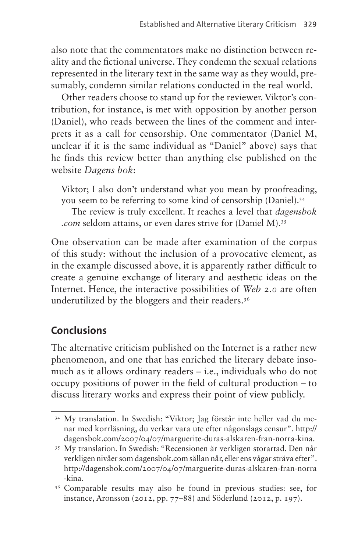also note that the commentators make no distinction between reality and the fictional universe. They condemn the sexual relations represented in the literary text in the same way as they would, presumably, condemn similar relations conducted in the real world.

Other readers choose to stand up for the reviewer. Viktor's contribution, for instance, is met with opposition by another person (Daniel), who reads between the lines of the comment and interprets it as a call for censorship. One commentator (Daniel M, unclear if it is the same individual as "Daniel" above) says that he finds this review better than anything else published on the website *Dagens bok*:

Viktor; I also don't understand what you mean by proofreading, you seem to be referring to some kind of censorship (Daniel).[34](#page-22-0)

The review is truly excellent. It reaches a level that *[dagensbok](http://dagensbok.com) [.com](http://dagensbok.com)* seldom attains, or even dares strive for (Daniel M).[35](#page-22-1)

One observation can be made after examination of the corpus of this study: without the inclusion of a provocative element, as in the example discussed above, it is apparently rather difficult to create a genuine exchange of literary and aesthetic ideas on the Internet. Hence, the interactive possibilities of *Web 2.0* are often underutilized by the bloggers and their readers.<sup>36</sup>

## **Conclusions**

The alternative criticism published on the Internet is a rather new phenomenon, and one that has enriched the literary debate insomuch as it allows ordinary readers – i.e., individuals who do not occupy positions of power in the field of cultural production – to discuss literary works and express their point of view publicly.

<span id="page-22-0"></span><sup>34</sup> My translation. In Swedish: "Viktor; Jag förstår inte heller vad du menar med korrläsning, du verkar vara ute efter någonslags censur". [http://](http://dagensbok.com/2007/04/07/marguerite-duras-alskaren-fran-norra-kina) [dagensbok.com/2007/04/07/marguerite-duras-alskaren-fran-norra-kina.](http://dagensbok.com/2007/04/07/marguerite-duras-alskaren-fran-norra-kina)

<span id="page-22-1"></span><sup>35</sup> My translation. In Swedish: "Recensionen är verkligen storartad. Den når verkligen nivåer som [dagensbok.com](http://dagensbok.com) sällan når, eller ens vågar sträva efter". [http://dagensbok.com/2007/04/07/marguerite-duras-alskaren-fran-norra](http://dagensbok.com/2007/04/07/marguerite-duras-alskaren-fran-norra-kina) [-kina](http://dagensbok.com/2007/04/07/marguerite-duras-alskaren-fran-norra-kina).

<span id="page-22-2"></span><sup>36</sup> Comparable results may also be found in previous studies: see, for instance, Aronsson (2012, pp. 77–88) and Söderlund (2012, p. 197).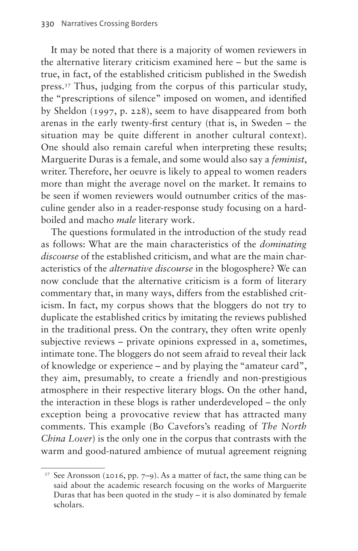It may be noted that there is a majority of women reviewers in the alternative literary criticism examined here – but the same is true, in fact, of the established criticism published in the Swedish press.[37](#page-23-0) Thus, judging from the corpus of this particular study, the "prescriptions of silence" imposed on women, and identified by Sheldon (1997, p. 228), seem to have disappeared from both arenas in the early twenty-first century (that is, in Sweden – the situation may be quite different in another cultural context). One should also remain careful when interpreting these results; Marguerite Duras is a female, and some would also say a *feminist*, writer. Therefore, her oeuvre is likely to appeal to women readers more than might the average novel on the market. It remains to be seen if women reviewers would outnumber critics of the masculine gender also in a reader-response study focusing on a hardboiled and macho *male* literary work.

The questions formulated in the introduction of the study read as follows: What are the main characteristics of the *dominating discourse* of the established criticism, and what are the main characteristics of the *alternative discourse* in the blogosphere? We can now conclude that the alternative criticism is a form of literary commentary that, in many ways, differs from the established criticism. In fact, my corpus shows that the bloggers do not try to duplicate the established critics by imitating the reviews published in the traditional press. On the contrary, they often write openly subjective reviews – private opinions expressed in a, sometimes, intimate tone. The bloggers do not seem afraid to reveal their lack of knowledge or experience – and by playing the "amateur card", they aim, presumably, to create a friendly and non-prestigious atmosphere in their respective literary blogs. On the other hand, the interaction in these blogs is rather underdeveloped – the only exception being a provocative review that has attracted many comments. This example (Bo Cavefors's reading of *The North China Lover*) is the only one in the corpus that contrasts with the warm and good-natured ambience of mutual agreement reigning

<span id="page-23-0"></span><sup>37</sup> See Aronsson (2016, pp. 7–9). As a matter of fact, the same thing can be said about the academic research focusing on the works of Marguerite Duras that has been quoted in the study – it is also dominated by female scholars.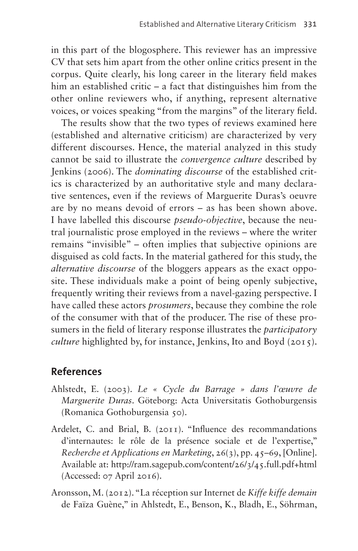in this part of the blogosphere. This reviewer has an impressive CV that sets him apart from the other online critics present in the corpus. Quite clearly, his long career in the literary field makes him an established critic – a fact that distinguishes him from the other online reviewers who, if anything, represent alternative voices, or voices speaking "from the margins" of the literary field.

The results show that the two types of reviews examined here (established and alternative criticism) are characterized by very different discourses. Hence, the material analyzed in this study cannot be said to illustrate the *convergence culture* described by Jenkins (2006). The *dominating discourse* of the established critics is characterized by an authoritative style and many declarative sentences, even if the reviews of Marguerite Duras's oeuvre are by no means devoid of errors – as has been shown above. I have labelled this discourse *pseudo-objective*, because the neutral journalistic prose employed in the reviews – where the writer remains "invisible" – often implies that subjective opinions are disguised as cold facts. In the material gathered for this study, the *alternative discourse* of the bloggers appears as the exact opposite. These individuals make a point of being openly subjective, frequently writing their reviews from a navel-gazing perspective. I have called these actors *prosumers*, because they combine the role of the consumer with that of the producer. The rise of these prosumers in the field of literary response illustrates the *participatory culture* highlighted by, for instance, Jenkins, Ito and Boyd (2015).

### **References**

- Ahlstedt, E. (2003). *Le « Cycle du Barrage » dans l'œuvre de Marguerite Duras*. Göteborg: Acta Universitatis Gothoburgensis (Romanica Gothoburgensia 50).
- Ardelet, C. and Brial, B. (2011). "Influence des recommandations d'internautes: le rôle de la présence sociale et de l'expertise," *Recherche et Applications en Marketing*, 26(3), pp. 45–69, [Online]. Available at:<http://ram.sagepub.com/content/26/3/45.full.pdf+html> (Accessed: 07 April 2016).
- Aronsson, M. (2012). "La réception sur Internet de *Kiffe kiffe demain* de Faïza Guène," in Ahlstedt, E., Benson, K., Bladh, E., Söhrman,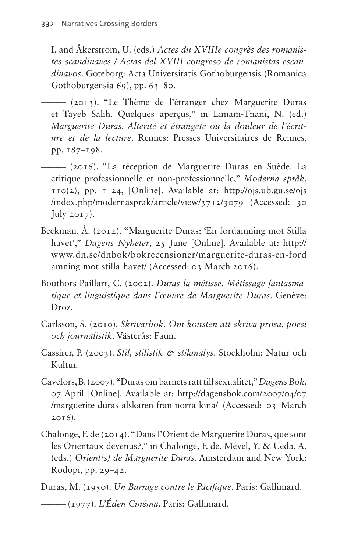I. and Åkerström, U. (eds.) *Actes du XVIIIe congrès des romanistes scandinaves / Actas del XVIII congreso de romanistas escandinavos*. Göteborg: Acta Universitatis Gothoburgensis (Romanica Gothoburgensia 69), pp. 63–80.

——— (2013). "Le Thème de l'étranger chez Marguerite Duras et Tayeb Salih. Quelques aperçus," in Limam-Tnani, N. (ed.) *Marguerite Duras. Altérité et étrangeté ou la douleur de l'écriture et de la lecture*. Rennes: Presses Universitaires de Rennes, pp. 187–198.

- ——— (2016). "La réception de Marguerite Duras en Suède. La critique professionnelle et non-professionnelle," *Moderna språk*,  $110(2)$ , pp.  $1-24$ , [Online]. Available at: [http://ojs.ub.gu.se/ojs](http://‌ojs.ub.gu.se/‌ojs/index.php/modernasprak/article/view/3712/3079) [/index.php/modernasprak/article/view/3712/3079](http://‌ojs.ub.gu.se/‌ojs/index.php/modernasprak/article/view/3712/3079) (Accessed: 30 July  $2017$ ).
- Beckman, Å. (2012). "Marguerite Duras: 'En fördämning mot Stilla havet'," *Dagens Nyheter*, 25 June [Online]. Available at: [http://](http://www.dn.se/dnbok/bokrecensioner/marguerite-duras-en-fordamning-mot-stilla-havet/) [www.dn.se/dnbok/bokrecensioner/marguerite-duras-en-ford](http://www.dn.se/dnbok/bokrecensioner/marguerite-duras-en-fordamning-mot-stilla-havet/) [amning-mot-stilla-havet/](http://www.dn.se/dnbok/bokrecensioner/marguerite-duras-en-fordamning-mot-stilla-havet/) (Accessed: 03 March 2016).
- Bouthors-Paillart, C. (2002). *Duras la métisse. Métissage fantasmatique et linguistique dans l'œuvre de Marguerite Duras*. Genève: Droz.
- Carlsson, S. (2010). *Skrivarbok. Om konsten att skriva prosa, poesi och journalistik*. Västerås: Faun.
- Cassirer, P. (2003). *Stil, stilistik & stilanalys*. Stockholm: Natur och Kultur.
- Cavefors, B. (2007). "Duras om barnets rätt till sexualitet," *Dagens Bok*, 07 April [Online]. Available at: [http://dagensbok.com/2007/04/07](http://dagensbok.com/2007/04/07/marguerite-duras-alskaren-fran-norra-kina/) [/marguerite-duras-alskaren-fran-norra-kina/](http://dagensbok.com/2007/04/07/marguerite-duras-alskaren-fran-norra-kina/) (Accessed: 03 March 2016).
- Chalonge, F. de (2014). "Dans l'Orient de Marguerite Duras, que sont les Orientaux devenus?," in Chalonge, F. de, Mével, Y. & Ueda, A. (eds.) *Orient(s) de Marguerite Duras*. Amsterdam and New York: Rodopi, pp. 29–42.

Duras, M. (1950). *Un Barrage contre le Pacifique*. Paris: Gallimard.

——— (1977). *L'Éden Cinéma*. Paris: Gallimard.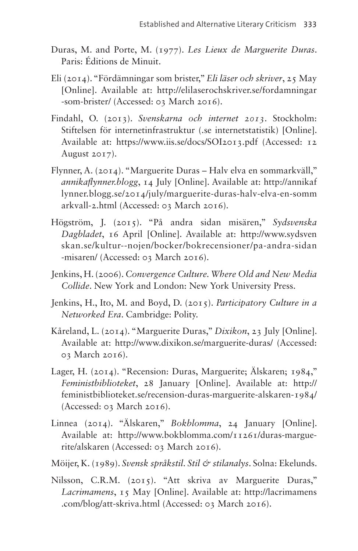- Duras, M. and Porte, M. (1977). *Les Lieux de Marguerite Duras*. Paris: Éditions de Minuit.
- Eli (2014). "Fördämningar som brister," *Eli läser och skriver*, 25 May [Online]. Available at: [http://elilaserochskriver.se/fordamningar](http://elilaserochskriver.se/fordamningar-som-brister/) [-som-brister/](http://elilaserochskriver.se/fordamningar-som-brister/) (Accessed: 03 March 2016).
- Findahl, O. (2013). *Svenskarna och internet 2013*. Stockholm: Stiftelsen för internetinfrastruktur (.se internetstatistik) [Online]. Available at: <https://www.iis.se/docs/SOI2013.pdf>(Accessed: 12 August 2017).
- Flynner, A. (2014). "Marguerite Duras Halv elva en sommarkväll," *annikaflynner.blogg*, 14 July [Online]. Available at: [http://annikaf](http://annikaflynner.blogg.se/2014/july/marguerite-duras-halv-elva-en-sommarkvall-2.html) [lynner.blogg.se/2014/july/marguerite-duras-halv-elva-en-somm](http://annikaflynner.blogg.se/2014/july/marguerite-duras-halv-elva-en-sommarkvall-2.html) [arkvall-2.html](http://annikaflynner.blogg.se/2014/july/marguerite-duras-halv-elva-en-sommarkvall-2.html) (Accessed: 03 March 2016).
- Högström, J. (2015). "På andra sidan misären," *Sydsvenska Dagbladet*, 16 April [Online]. Available at: [http://www.sydsven](http://www.sydsvenskan.se/kultur--nojen/bocker/bokrecensioner/pa-andra-sidan-misaren/) [skan.se/kultur--nojen/bocker/bokrecensioner/pa-andra-sidan](http://www.sydsvenskan.se/kultur--nojen/bocker/bokrecensioner/pa-andra-sidan-misaren/) [-misaren/](http://www.sydsvenskan.se/kultur--nojen/bocker/bokrecensioner/pa-andra-sidan-misaren/) (Accessed: 03 March 2016).
- Jenkins, H. (2006). *Convergence Culture. Where Old and New Media Collide*. New York and London: New York University Press.
- Jenkins, H., Ito, M. and Boyd, D. (2015). *Participatory Culture in a Networked Era*. Cambridge: Polity.
- Kåreland, L. (2014). "Marguerite Duras," *Dixikon*, 23 July [Online]. Available at: [http://www.dixikon.se/marguerite-duras/](http://‌www.‌dixikon.se/‌marguerite-duras/) (Accessed: 03 March 2016).
- Lager, H. (2014). "Recension: Duras, Marguerite; Älskaren; 1984," *Feministbiblioteket*, 28 January [Online]. Available at: [http://](http://feministbiblioteket.se/recension-duras-marguerite-alskaren-1984/) [feministbiblioteket.se/recension-duras-marguerite-alskaren-1984/](http://feministbiblioteket.se/recension-duras-marguerite-alskaren-1984/) (Accessed: 03 March 2016).
- Linnea (2014). "Älskaren," *Bokblomma*, 24 January [Online]. Available at: [http://www.bokblomma.com/11261/duras-margue](http://www.bokblomma.com/11261/duras-marguerite/alskaren)[rite/alskaren](http://www.bokblomma.com/11261/duras-marguerite/alskaren) (Accessed: 03 March 2016).
- Möijer, K. (1989). *Svensk språkstil. Stil & stilanalys*. Solna: Ekelunds.
- Nilsson, C.R.M. (2015). "Att skriva av Marguerite Duras," *Lacrimamens*, 15 May [Online]. Available at: [http://lacrimamens](http://lacrimamens.com/blog/att-skriva.html) [.com/blog/att-skriva.html](http://lacrimamens.com/blog/att-skriva.html) (Accessed: 03 March 2016).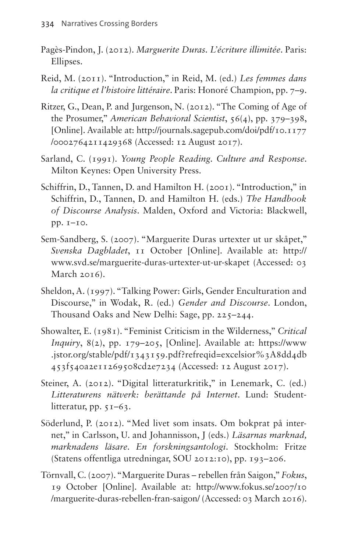- Pagès-Pindon, J. (2012). *Marguerite Duras. L'écriture illimitée*. Paris: Ellipses.
- Reid, M. (2011). "Introduction," in Reid, M. (ed.) *Les femmes dans la critique et l'histoire littéraire*. Paris: Honoré Champion, pp. 7–9.
- Ritzer, G., Dean, P. and Jurgenson, N. (2012). "The Coming of Age of the Prosumer," *American Behavioral Scientist*, 56(4), pp. 379–398, [Online]. Available at: [http://journals.sagepub.com/doi/pdf/10.1177](http://‌journals.sagepub.‌com/‌doi/‌pdf/10.1177/0002764211429368) [/0002764211429368](http://‌journals.sagepub.‌com/‌doi/‌pdf/10.1177/0002764211429368) (Accessed: 12 August 2017).
- Sarland, C. (1991). *Young People Reading. Culture and Response*. Milton Keynes: Open University Press.
- Schiffrin, D., Tannen, D. and Hamilton H. (2001). "Introduction," in Schiffrin, D., Tannen, D. and Hamilton H. (eds.) *The Handbook of Discourse Analysis*. Malden, Oxford and Victoria: Blackwell, pp. 1–10.
- Sem-Sandberg, S. (2007). "Marguerite Duras urtexter ut ur skåpet," *Svenska Dagbladet*, 11 October [Online]. Available at: [http://](http://www.svd.se/marguerite-duras-urtexter-ut-ur-skapet) [www.svd.se/marguerite-duras-urtexter-ut-ur-skapet](http://www.svd.se/marguerite-duras-urtexter-ut-ur-skapet) (Accessed: 03 March 2016).
- Sheldon, A. (1997). "Talking Power: Girls, Gender Enculturation and Discourse," in Wodak, R. (ed.) *Gender and Discourse*. London, Thousand Oaks and New Delhi: Sage, pp. 225–244.
- Showalter, E. (1981). "Feminist Criticism in the Wilderness," *Critical Inquiry*, 8(2), pp. 179–205, [Online]. Available at: [https://www](https://www.jstor.org/stable/pdf/‌‌‌1343159.pdf?‌refreqid=‌excelsior%‌3A8dd‌4db453f540a2e11269508cd2e7234) [.jstor.org/stable/pdf/ 1343159.pdf?refreqid=excelsior%3A8dd4db](https://www.jstor.org/stable/pdf/‌‌‌1343159.pdf?‌refreqid=‌excelsior%‌3A8dd‌4db453f540a2e11269508cd2e7234) [453f540a2e11269508cd2e7234](https://www.jstor.org/stable/pdf/‌‌‌1343159.pdf?‌refreqid=‌excelsior%‌3A8dd‌4db453f540a2e11269508cd2e7234) (Accessed: 12 August 2017).
- Steiner, A. (2012). "Digital litteraturkritik," in Lenemark, C. (ed.) *Litteraturens nätverk: berättande på Internet*. Lund: Studentlitteratur, pp. 51–63.
- Söderlund, P. (2012). "Med livet som insats. Om bokprat på internet," in Carlsson, U. and Johannisson, J (eds.) *Läsarnas marknad, marknadens läsare. En forskningsantologi*. Stockholm: Fritze (Statens offentliga utredningar, SOU 2012:10), pp. 193–206.
- Törnvall, C. (2007). "Marguerite Duras rebellen från Saigon," *Fokus*, 19 October [Online]. Available at: [http://www.fokus.se/2007/10](http://www.fokus.se/2007/10/marguerite-duras-rebellen-fran-saigon/) [/marguerite-duras-rebellen-fran-saigon/](http://www.fokus.se/2007/10/marguerite-duras-rebellen-fran-saigon/) (Accessed: 03 March 2016).